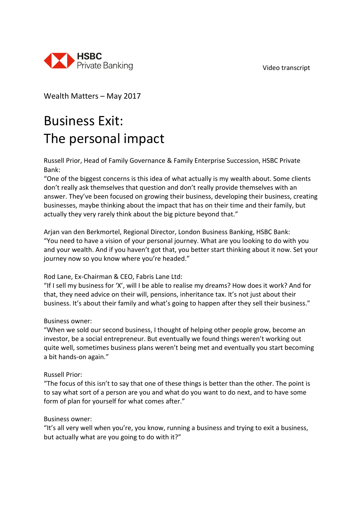Video transcript



Wealth Matters – May 2017

# Business Exit: The personal impact

Russell Prior, Head of Family Governance & Family Enterprise Succession, HSBC Private Bank:

"One of the biggest concerns is this idea of what actually is my wealth about. Some clients don't really ask themselves that question and don't really provide themselves with an answer. They've been focused on growing their business, developing their business, creating businesses, maybe thinking about the impact that has on their time and their family, but actually they very rarely think about the big picture beyond that."

Arjan van den Berkmortel, Regional Director, London Business Banking, HSBC Bank: "You need to have a vision of your personal journey. What are you looking to do with you and your wealth. And if you haven't got that, you better start thinking about it now. Set your journey now so you know where you're headed."

## Rod Lane, Ex-Chairman & CEO, Fabris Lane Ltd:

"If I sell my business for 'X', will I be able to realise my dreams? How does it work? And for that, they need advice on their will, pensions, inheritance tax. It's not just about their business. It's about their family and what's going to happen after they sell their business."

## Business owner:

"When we sold our second business, I thought of helping other people grow, become an investor, be a social entrepreneur. But eventually we found things weren't working out quite well, sometimes business plans weren't being met and eventually you start becoming a bit hands-on again."

#### Russell Prior:

"The focus of this isn't to say that one of these things is better than the other. The point is to say what sort of a person are you and what do you want to do next, and to have some form of plan for yourself for what comes after."

#### Business owner:

"It's all very well when you're, you know, running a business and trying to exit a business, but actually what are you going to do with it?"